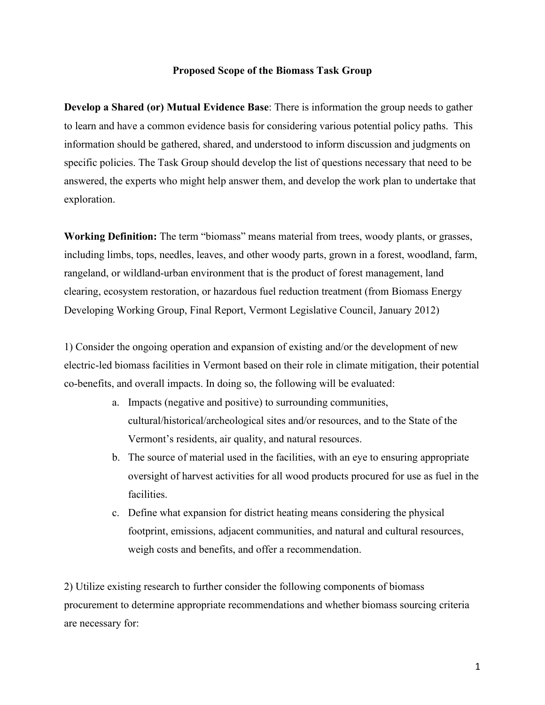## **Proposed Scope of the Biomass Task Group**

**Develop a Shared (or) Mutual Evidence Base**: There is information the group needs to gather to learn and have a common evidence basis for considering various potential policy paths. This information should be gathered, shared, and understood to inform discussion and judgments on specific policies. The Task Group should develop the list of questions necessary that need to be answered, the experts who might help answer them, and develop the work plan to undertake that exploration.

**Working Definition:** The term "biomass" means material from trees, woody plants, or grasses, including limbs, tops, needles, leaves, and other woody parts, grown in a forest, woodland, farm, rangeland, or wildland-urban environment that is the product of forest management, land clearing, ecosystem restoration, or hazardous fuel reduction treatment (from Biomass Energy Developing Working Group, Final Report, Vermont Legislative Council, January 2012)

1) Consider the ongoing operation and expansion of existing and/or the development of new electric-led biomass facilities in Vermont based on their role in climate mitigation, their potential co-benefits, and overall impacts. In doing so, the following will be evaluated:

- a. Impacts (negative and positive) to surrounding communities, cultural/historical/archeological sites and/or resources, and to the State of the Vermont's residents, air quality, and natural resources.
- b. The source of material used in the facilities, with an eye to ensuring appropriate oversight of harvest activities for all wood products procured for use as fuel in the facilities.
- c. Define what expansion for district heating means considering the physical footprint, emissions, adjacent communities, and natural and cultural resources, weigh costs and benefits, and offer a recommendation.

2) Utilize existing research to further consider the following components of biomass procurement to determine appropriate recommendations and whether biomass sourcing criteria are necessary for: